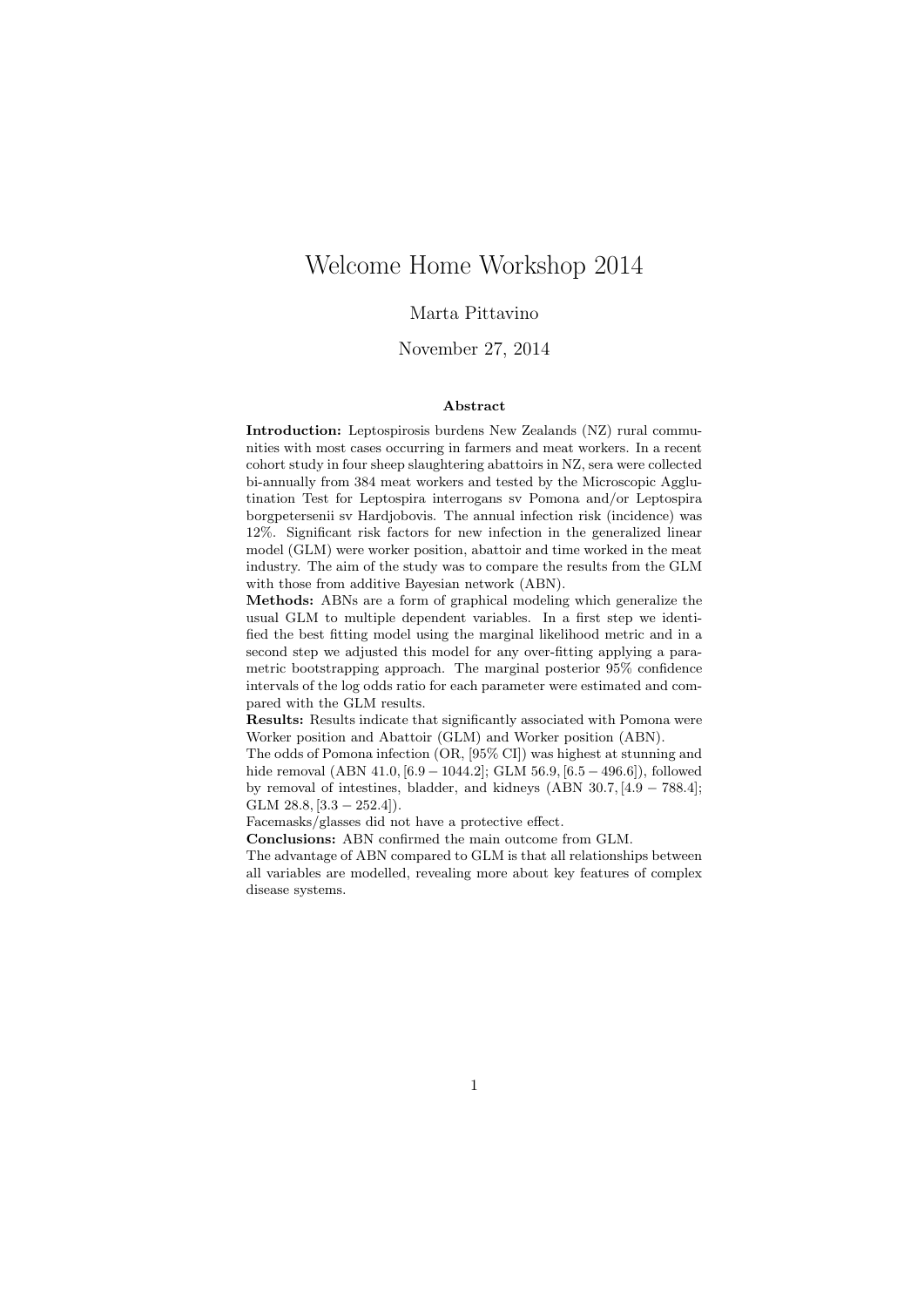# Welcome Home Workshop 2014

### Marta Pittavino

## November 27, 2014

#### Abstract

Introduction: Leptospirosis burdens New Zealands (NZ) rural communities with most cases occurring in farmers and meat workers. In a recent cohort study in four sheep slaughtering abattoirs in NZ, sera were collected bi-annually from 384 meat workers and tested by the Microscopic Agglutination Test for Leptospira interrogans sv Pomona and/or Leptospira borgpetersenii sv Hardjobovis. The annual infection risk (incidence) was 12%. Significant risk factors for new infection in the generalized linear model (GLM) were worker position, abattoir and time worked in the meat industry. The aim of the study was to compare the results from the GLM with those from additive Bayesian network (ABN).

Methods: ABNs are a form of graphical modeling which generalize the usual GLM to multiple dependent variables. In a first step we identified the best fitting model using the marginal likelihood metric and in a second step we adjusted this model for any over-fitting applying a parametric bootstrapping approach. The marginal posterior 95% confidence intervals of the log odds ratio for each parameter were estimated and compared with the GLM results.

Results: Results indicate that significantly associated with Pomona were Worker position and Abattoir (GLM) and Worker position (ABN).

The odds of Pomona infection (OR, [95% CI]) was highest at stunning and hide removal (ABN 41.0, [6.9 − 1044.2]; GLM 56.9, [6.5 − 496.6]), followed by removal of intestines, bladder, and kidneys (ABN 30.7, [4.9 − 788.4]; GLM  $28.8$ ,  $[3.3 - 252.4]$ ).

Facemasks/glasses did not have a protective effect.

Conclusions: ABN confirmed the main outcome from GLM.

The advantage of ABN compared to GLM is that all relationships between all variables are modelled, revealing more about key features of complex disease systems.